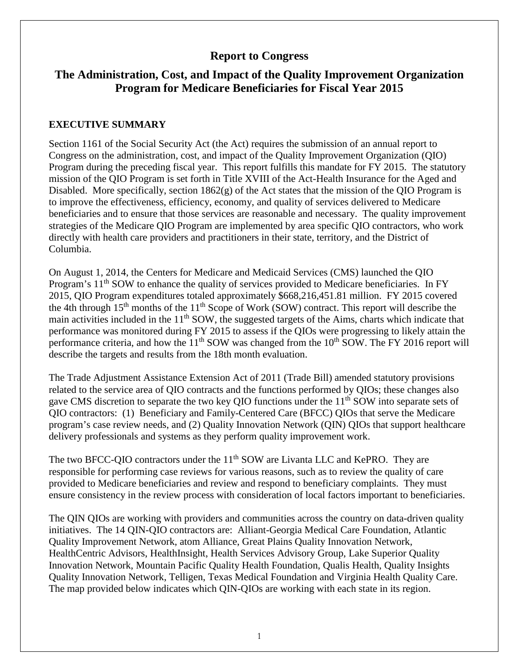# **Report to Congress**

# **The Administration, Cost, and Impact of the Quality Improvement Organization Program for Medicare Beneficiaries for Fiscal Year 2015**

#### **EXECUTIVE SUMMARY**

Section 1161 of the Social Security Act (the Act) requires the submission of an annual report to Congress on the administration, cost, and impact of the Quality Improvement Organization (QIO) Program during the preceding fiscal year. This report fulfills this mandate for FY 2015. The statutory mission of the QIO Program is set forth in Title XVIII of the Act-Health Insurance for the Aged and Disabled. More specifically, section  $1862(g)$  of the Act states that the mission of the QIO Program is to improve the effectiveness, efficiency, economy, and quality of services delivered to Medicare beneficiaries and to ensure that those services are reasonable and necessary. The quality improvement strategies of the Medicare QIO Program are implemented by area specific QIO contractors, who work directly with health care providers and practitioners in their state, territory, and the District of Columbia.

On August 1, 2014, the Centers for Medicare and Medicaid Services (CMS) launched the QIO Program's  $11<sup>th</sup>$  SOW to enhance the quality of services provided to Medicare beneficiaries. In FY 2015, QIO Program expenditures totaled approximately \$668,216,451.81 million. FY 2015 covered the 4th through  $15<sup>th</sup>$  months of the  $11<sup>th</sup>$  Scope of Work (SOW) contract. This report will describe the main activities included in the  $11<sup>th</sup>$  SOW, the suggested targets of the Aims, charts which indicate that performance was monitored during FY 2015 to assess if the QIOs were progressing to likely attain the performance criteria, and how the  $11<sup>th</sup>$  SOW was changed from the  $10<sup>th</sup>$  SOW. The FY 2016 report will describe the targets and results from the 18th month evaluation.

The Trade Adjustment Assistance Extension Act of 2011 (Trade Bill) amended statutory provisions related to the service area of QIO contracts and the functions performed by QIOs; these changes also gave CMS discretion to separate the two key QIO functions under the 11<sup>th</sup> SOW into separate sets of QIO contractors: (1) Beneficiary and Family-Centered Care (BFCC) QIOs that serve the Medicare program's case review needs, and (2) Quality Innovation Network (QIN) QIOs that support healthcare delivery professionals and systems as they perform quality improvement work.

The two BFCC-QIO contractors under the 11<sup>th</sup> SOW are Livanta LLC and KePRO. They are responsible for performing case reviews for various reasons, such as to review the quality of care provided to Medicare beneficiaries and review and respond to beneficiary complaints. They must ensure consistency in the review process with consideration of local factors important to beneficiaries.

The QIN QIOs are working with providers and communities across the country on data-driven quality initiatives. The 14 QIN-QIO contractors are: Alliant-Georgia Medical Care Foundation, Atlantic Quality Improvement Network, atom Alliance, Great Plains Quality Innovation Network, HealthCentric Advisors, HealthInsight, Health Services Advisory Group, Lake Superior Quality Innovation Network, Mountain Pacific Quality Health Foundation, Qualis Health, Quality Insights Quality Innovation Network, Telligen, Texas Medical Foundation and Virginia Health Quality Care. The map provided below indicates which QIN-QIOs are working with each state in its region.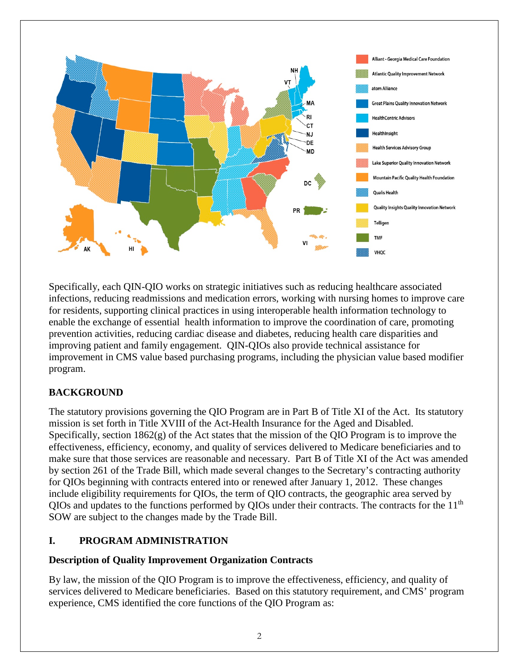

Specifically, each QIN-QIO works on strategic initiatives such as reducing healthcare associated infections, reducing readmissions and medication errors, working with nursing homes to improve care for residents, supporting clinical practices in using interoperable health information technology to enable the exchange of essential health information to improve the coordination of care, promoting prevention activities, reducing cardiac disease and diabetes, reducing health care disparities and improving patient and family engagement. QIN-QIOs also provide technical assistance for improvement in CMS value based purchasing programs, including the physician value based modifier program.

# **BACKGROUND**

The statutory provisions governing the QIO Program are in Part B of Title XI of the Act. Its statutory mission is set forth in Title XVIII of the Act-Health Insurance for the Aged and Disabled. Specifically, section  $1862(g)$  of the Act states that the mission of the QIO Program is to improve the effectiveness, efficiency, economy, and quality of services delivered to Medicare beneficiaries and to make sure that those services are reasonable and necessary. Part B of Title XI of the Act was amended by section 261 of the Trade Bill, which made several changes to the Secretary's contracting authority for QIOs beginning with contracts entered into or renewed after January 1, 2012. These changes include eligibility requirements for QIOs, the term of QIO contracts, the geographic area served by  $OIOs$  and updates to the functions performed by  $OIOs$  under their contracts. The contracts for the  $11<sup>th</sup>$ SOW are subject to the changes made by the Trade Bill.

## **I. PROGRAM ADMINISTRATION**

### **Description of Quality Improvement Organization Contracts**

By law, the mission of the QIO Program is to improve the effectiveness, efficiency, and quality of services delivered to Medicare beneficiaries. Based on this statutory requirement, and CMS' program experience, CMS identified the core functions of the QIO Program as: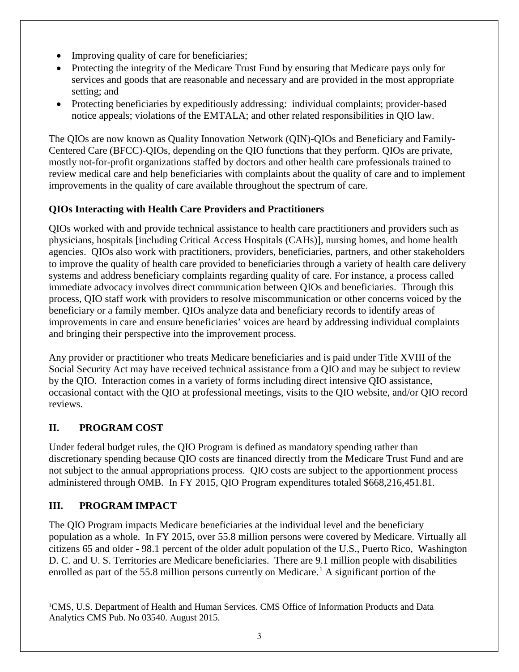- Improving quality of care for beneficiaries;
- Protecting the integrity of the Medicare Trust Fund by ensuring that Medicare pays only for services and goods that are reasonable and necessary and are provided in the most appropriate setting; and
- Protecting beneficiaries by expeditiously addressing: individual complaints; provider-based notice appeals; violations of the EMTALA; and other related responsibilities in QIO law.

The QIOs are now known as Quality Innovation Network (QIN)-QIOs and Beneficiary and Family-Centered Care (BFCC)-QIOs, depending on the QIO functions that they perform. QIOs are private, mostly not-for-profit organizations staffed by doctors and other health care professionals trained to review medical care and help beneficiaries with complaints about the quality of care and to implement improvements in the quality of care available throughout the spectrum of care.

# **QIOs Interacting with Health Care Providers and Practitioners**

QIOs worked with and provide technical assistance to health care practitioners and providers such as physicians, hospitals [including Critical Access Hospitals (CAHs)], nursing homes, and home health agencies. QIOs also work with practitioners, providers, beneficiaries, partners, and other stakeholders to improve the quality of health care provided to beneficiaries through a variety of health care delivery systems and address beneficiary complaints regarding quality of care. For instance, a process called immediate advocacy involves direct communication between QIOs and beneficiaries. Through this process, QIO staff work with providers to resolve miscommunication or other concerns voiced by the beneficiary or a family member. QIOs analyze data and beneficiary records to identify areas of improvements in care and ensure beneficiaries' voices are heard by addressing individual complaints and bringing their perspective into the improvement process.

Any provider or practitioner who treats Medicare beneficiaries and is paid under Title XVIII of the Social Security Act may have received technical assistance from a QIO and may be subject to review by the QIO. Interaction comes in a variety of forms including direct intensive QIO assistance, occasional contact with the QIO at professional meetings, visits to the QIO website, and/or QIO record reviews.

# **II. PROGRAM COST**

Under federal budget rules, the QIO Program is defined as mandatory spending rather than discretionary spending because QIO costs are financed directly from the Medicare Trust Fund and are not subject to the annual appropriations process. QIO costs are subject to the apportionment process administered through OMB. In FY 2015, QIO Program expenditures totaled \$668,216,451.81.

# **III. PROGRAM IMPACT**

The QIO Program impacts Medicare beneficiaries at the individual level and the beneficiary population as a whole. In FY 2015, over 55.8 million persons were covered by Medicare. Virtually all citizens 65 and older - 98.1 percent of the older adult population of the U.S., Puerto Rico, Washington D. C. and U. S. Territories are Medicare beneficiaries. There are 9.1 million people with disabilities enrolled as part of the 55.8 million persons currently on Medicare.<sup>[1](#page-2-0)</sup> A significant portion of the

<span id="page-2-0"></span> $\overline{a}$ 1 CMS, U.S. Department of Health and Human Services. CMS Office of Information Products and Data Analytics CMS Pub. No 03540. August 2015.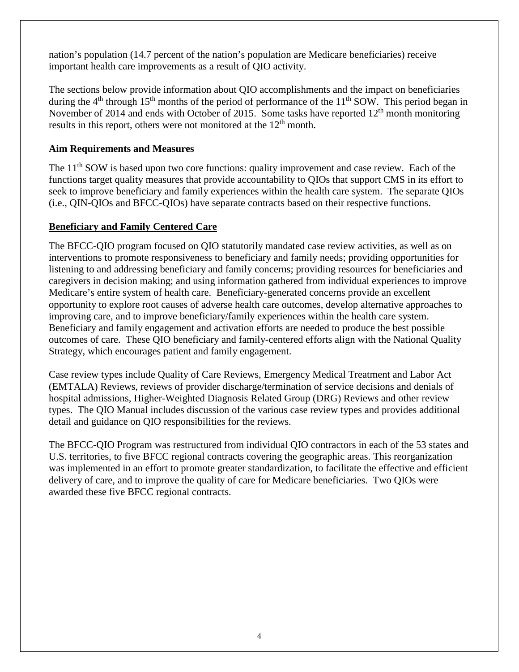nation's population (14.7 percent of the nation's population are Medicare beneficiaries) receive important health care improvements as a result of QIO activity.

The sections below provide information about QIO accomplishments and the impact on beneficiaries during the  $4<sup>th</sup>$  through 15<sup>th</sup> months of the period of performance of the 11<sup>th</sup> SOW. This period began in November of 2014 and ends with October of 2015. Some tasks have reported  $12<sup>th</sup>$  month monitoring results in this report, others were not monitored at the  $12<sup>th</sup>$  month.

### **Aim Requirements and Measures**

The 11<sup>th</sup> SOW is based upon two core functions: quality improvement and case review. Each of the functions target quality measures that provide accountability to QIOs that support CMS in its effort to seek to improve beneficiary and family experiences within the health care system. The separate QIOs (i.e., QIN-QIOs and BFCC-QIOs) have separate contracts based on their respective functions.

### **Beneficiary and Family Centered Care**

The BFCC-QIO program focused on QIO statutorily mandated case review activities, as well as on interventions to promote responsiveness to beneficiary and family needs; providing opportunities for listening to and addressing beneficiary and family concerns; providing resources for beneficiaries and caregivers in decision making; and using information gathered from individual experiences to improve Medicare's entire system of health care. Beneficiary-generated concerns provide an excellent opportunity to explore root causes of adverse health care outcomes, develop alternative approaches to improving care, and to improve beneficiary/family experiences within the health care system. Beneficiary and family engagement and activation efforts are needed to produce the best possible outcomes of care. These QIO beneficiary and family-centered efforts align with the National Quality Strategy, which encourages patient and family engagement.

Case review types include Quality of Care Reviews, Emergency Medical Treatment and Labor Act (EMTALA) Reviews, reviews of provider discharge/termination of service decisions and denials of hospital admissions, Higher-Weighted Diagnosis Related Group (DRG) Reviews and other review types. The QIO Manual includes discussion of the various case review types and provides additional detail and guidance on QIO responsibilities for the reviews.

The BFCC-QIO Program was restructured from individual QIO contractors in each of the 53 states and U.S. territories, to five BFCC regional contracts covering the geographic areas. This reorganization was implemented in an effort to promote greater standardization, to facilitate the effective and efficient delivery of care, and to improve the quality of care for Medicare beneficiaries. Two QIOs were awarded these five BFCC regional contracts.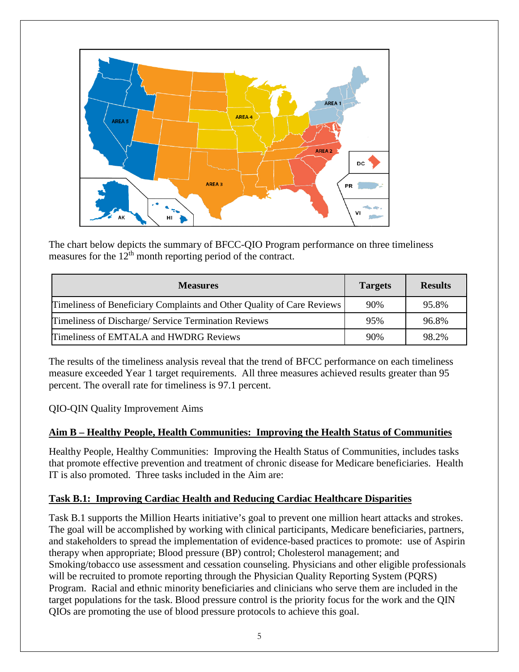

The chart below depicts the summary of BFCC-QIO Program performance on three timeliness measures for the  $12<sup>th</sup>$  month reporting period of the contract.

| <b>Measures</b>                                                        | <b>Targets</b> | <b>Results</b> |
|------------------------------------------------------------------------|----------------|----------------|
| Timeliness of Beneficiary Complaints and Other Quality of Care Reviews | 90%            | 95.8%          |
| Timeliness of Discharge/Service Termination Reviews                    | 95%            | 96.8%          |
| Timeliness of EMTALA and HWDRG Reviews                                 | 90%            | 98.2%          |

The results of the timeliness analysis reveal that the trend of BFCC performance on each timeliness measure exceeded Year 1 target requirements. All three measures achieved results greater than 95 percent. The overall rate for timeliness is 97.1 percent.

QIO-QIN Quality Improvement Aims

## **Aim B – Healthy People, Health Communities: Improving the Health Status of Communities**

Healthy People, Healthy Communities: Improving the Health Status of Communities, includes tasks that promote effective prevention and treatment of chronic disease for Medicare beneficiaries. Health IT is also promoted. Three tasks included in the Aim are:

## **Task B.1: Improving Cardiac Health and Reducing Cardiac Healthcare Disparities**

Task B.1 supports the Million Hearts initiative's goal to prevent one million heart attacks and strokes. The goal will be accomplished by working with clinical participants, Medicare beneficiaries, partners, and stakeholders to spread the implementation of evidence-based practices to promote: use of Aspirin therapy when appropriate; Blood pressure (BP) control; Cholesterol management; and Smoking/tobacco use assessment and cessation counseling. Physicians and other eligible professionals will be recruited to promote reporting through the Physician Quality Reporting System (PQRS) Program. Racial and ethnic minority beneficiaries and clinicians who serve them are included in the target populations for the task. Blood pressure control is the priority focus for the work and the QIN QIOs are promoting the use of blood pressure protocols to achieve this goal.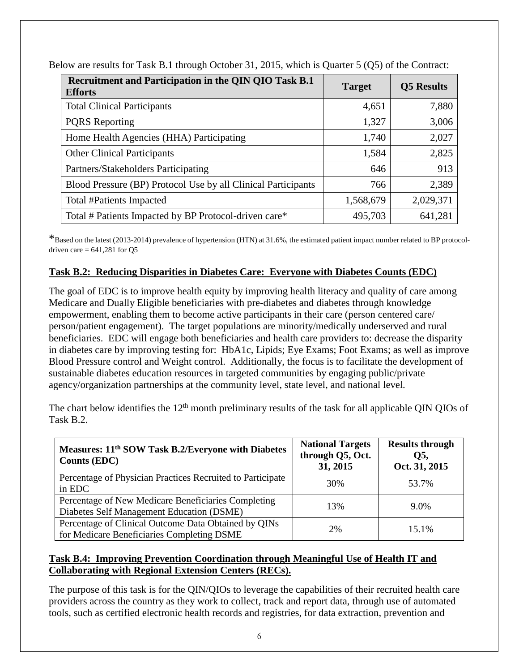| Recruitment and Participation in the QIN QIO Task B.1<br><b>Efforts</b> | <b>Target</b> | <b>Q5</b> Results |
|-------------------------------------------------------------------------|---------------|-------------------|
| <b>Total Clinical Participants</b>                                      | 4,651         | 7,880             |
| <b>PORS</b> Reporting                                                   | 1,327         | 3,006             |
| Home Health Agencies (HHA) Participating                                | 1,740         | 2,027             |
| <b>Other Clinical Participants</b>                                      | 1,584         | 2,825             |
| Partners/Stakeholders Participating                                     | 646           | 913               |
| Blood Pressure (BP) Protocol Use by all Clinical Participants           | 766           | 2,389             |
| Total #Patients Impacted                                                | 1,568,679     | 2,029,371         |
| Total # Patients Impacted by BP Protocol-driven care*                   | 495,703       | 641,281           |

Below are results for Task B.1 through October 31, 2015, which is Quarter 5 (Q5) of the Contract:

\*Based on the latest (2013-2014) prevalence of hypertension (HTN) at 31.6%, the estimated patient impact number related to BP protocoldriven care  $= 641,281$  for Q5

# **Task B.2: Reducing Disparities in Diabetes Care: Everyone with Diabetes Counts (EDC)**

The goal of EDC is to improve health equity by improving health literacy and quality of care among Medicare and Dually Eligible beneficiaries with pre-diabetes and diabetes through knowledge empowerment, enabling them to become active participants in their care (person centered care/ person/patient engagement). The target populations are minority/medically underserved and rural beneficiaries. EDC will engage both beneficiaries and health care providers to: decrease the disparity in diabetes care by improving testing for: HbA1c, Lipids; Eye Exams; Foot Exams; as well as improve Blood Pressure control and Weight control. Additionally, the focus is to facilitate the development of sustainable diabetes education resources in targeted communities by engaging public/private agency/organization partnerships at the community level, state level, and national level.

The chart below identifies the  $12<sup>th</sup>$  month preliminary results of the task for all applicable QIN QIOs of Task B.2.

| Measures: 11 <sup>th</sup> SOW Task B.2/Everyone with Diabetes<br><b>Counts (EDC)</b>              | <b>National Targets</b><br>through Q5, Oct.<br>31, 2015 | <b>Results through</b><br>Q5,<br>Oct. 31, 2015 |
|----------------------------------------------------------------------------------------------------|---------------------------------------------------------|------------------------------------------------|
| Percentage of Physician Practices Recruited to Participate<br>in EDC                               | 30%                                                     | 53.7%                                          |
| Percentage of New Medicare Beneficiaries Completing<br>Diabetes Self Management Education (DSME)   | 13%                                                     | $9.0\%$                                        |
| Percentage of Clinical Outcome Data Obtained by QINs<br>for Medicare Beneficiaries Completing DSME | 2%                                                      | 15.1%                                          |

## **Task B.4: Improving Prevention Coordination through Meaningful Use of Health IT and Collaborating with Regional Extension Centers (RECs).**

The purpose of this task is for the QIN/QIOs to leverage the capabilities of their recruited health care providers across the country as they work to collect, track and report data, through use of automated tools, such as certified electronic health records and registries, for data extraction, prevention and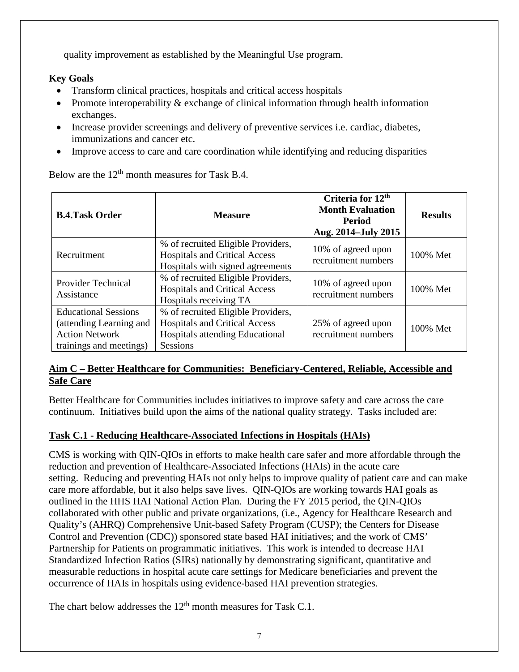quality improvement as established by the Meaningful Use program.

# **Key Goals**

- Transform clinical practices, hospitals and critical access hospitals
- Promote interoperability & exchange of clinical information through health information exchanges.
- Increase provider screenings and delivery of preventive services i.e. cardiac, diabetes, immunizations and cancer etc.
- Improve access to care and care coordination while identifying and reducing disparities

Below are the  $12<sup>th</sup>$  month measures for Task B.4.

| <b>B.4.Task Order</b>                                                                                      | <b>Measure</b>                                                                                                                   | Criteria for 12 <sup>th</sup><br><b>Month Evaluation</b><br><b>Period</b><br>Aug. 2014–July 2015 | <b>Results</b> |
|------------------------------------------------------------------------------------------------------------|----------------------------------------------------------------------------------------------------------------------------------|--------------------------------------------------------------------------------------------------|----------------|
| Recruitment                                                                                                | % of recruited Eligible Providers,<br><b>Hospitals and Critical Access</b><br>Hospitals with signed agreements                   | 10% of agreed upon<br>recruitment numbers                                                        | 100% Met       |
| <b>Provider Technical</b><br>Assistance                                                                    | % of recruited Eligible Providers,<br><b>Hospitals and Critical Access</b><br>Hospitals receiving TA                             | 10% of agreed upon<br>recruitment numbers                                                        | 100% Met       |
| <b>Educational Sessions</b><br>(attending Learning and<br><b>Action Network</b><br>trainings and meetings) | % of recruited Eligible Providers,<br><b>Hospitals and Critical Access</b><br>Hospitals attending Educational<br><b>Sessions</b> | 25% of agreed upon<br>recruitment numbers                                                        | 100% Met       |

### **Aim C – Better Healthcare for Communities: Beneficiary-Centered, Reliable, Accessible and Safe Care**

Better Healthcare for Communities includes initiatives to improve safety and care across the care continuum. Initiatives build upon the aims of the national quality strategy. Tasks included are:

## **Task C.1 - Reducing Healthcare-Associated Infections in Hospitals (HAIs)**

CMS is working with QIN-QIOs in efforts to make health care safer and more affordable through the reduction and prevention of Healthcare-Associated Infections (HAIs) in the acute care setting. Reducing and preventing HAIs not only helps to improve quality of patient care and can make care more affordable, but it also helps save lives. QIN-QIOs are working towards HAI goals as outlined in the HHS HAI National Action Plan. During the FY 2015 period, the QIN-QIOs collaborated with other public and private organizations, (i.e., Agency for Healthcare Research and Quality's (AHRQ) Comprehensive Unit-based Safety Program (CUSP); the Centers for Disease Control and Prevention (CDC)) sponsored state based HAI initiatives; and the work of CMS' Partnership for Patients on programmatic initiatives. This work is intended to decrease HAI Standardized Infection Ratios (SIRs) nationally by demonstrating significant, quantitative and measurable reductions in hospital acute care settings for Medicare beneficiaries and prevent the occurrence of HAIs in hospitals using evidence-based HAI prevention strategies.

The chart below addresses the  $12<sup>th</sup>$  month measures for Task C.1.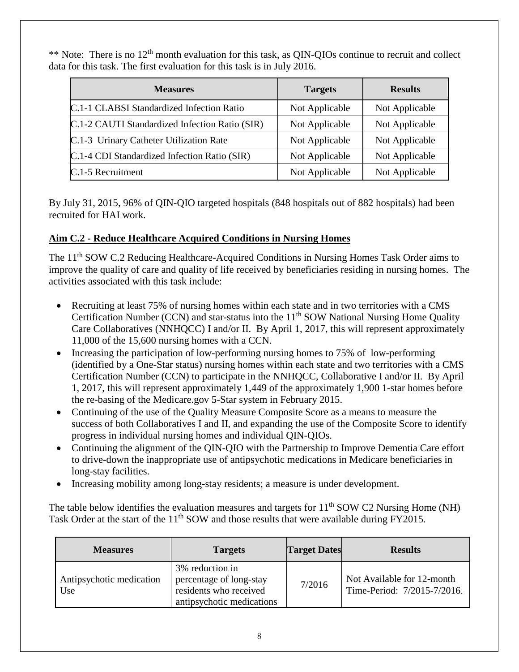\*\* Note: There is no 12<sup>th</sup> month evaluation for this task, as QIN-QIOs continue to recruit and collect data for this task. The first evaluation for this task is in July 2016.

| <b>Measures</b>                                | <b>Targets</b> | <b>Results</b> |
|------------------------------------------------|----------------|----------------|
| C.1-1 CLABSI Standardized Infection Ratio      | Not Applicable | Not Applicable |
| C.1-2 CAUTI Standardized Infection Ratio (SIR) | Not Applicable | Not Applicable |
| C.1-3 Urinary Catheter Utilization Rate        | Not Applicable | Not Applicable |
| C.1-4 CDI Standardized Infection Ratio (SIR)   | Not Applicable | Not Applicable |
| C.1-5 Recruitment                              | Not Applicable | Not Applicable |

By July 31, 2015, 96% of QIN-QIO targeted hospitals (848 hospitals out of 882 hospitals) had been recruited for HAI work.

## **Aim C.2 - Reduce Healthcare Acquired Conditions in Nursing Homes**

The 11<sup>th</sup> SOW C.2 Reducing Healthcare-Acquired Conditions in Nursing Homes Task Order aims to improve the quality of care and quality of life received by beneficiaries residing in nursing homes. The activities associated with this task include:

- Recruiting at least 75% of nursing homes within each state and in two territories with a CMS Certification Number (CCN) and star-status into the  $11<sup>th</sup>$  SOW National Nursing Home Quality Care Collaboratives (NNHQCC) I and/or II. By April 1, 2017, this will represent approximately 11,000 of the 15,600 nursing homes with a CCN.
- Increasing the participation of low-performing nursing homes to 75% of low-performing (identified by a One-Star status) nursing homes within each state and two territories with a CMS Certification Number (CCN) to participate in the NNHQCC, Collaborative I and/or II. By April 1, 2017, this will represent approximately 1,449 of the approximately 1,900 1-star homes before the re-basing of the Medicare.gov 5-Star system in February 2015.
- Continuing of the use of the Quality Measure Composite Score as a means to measure the success of both Collaboratives I and II, and expanding the use of the Composite Score to identify progress in individual nursing homes and individual QIN-QIOs.
- Continuing the alignment of the QIN-QIO with the Partnership to Improve Dementia Care effort to drive-down the inappropriate use of antipsychotic medications in Medicare beneficiaries in long-stay facilities.
- Increasing mobility among long-stay residents; a measure is under development.

The table below identifies the evaluation measures and targets for 11<sup>th</sup> SOW C2 Nursing Home (NH) Task Order at the start of the 11<sup>th</sup> SOW and those results that were available during FY2015.

| <b>Measures</b>                 | <b>Targets</b>                                                                                    | <b>Target Dates</b> | <b>Results</b>                                            |
|---------------------------------|---------------------------------------------------------------------------------------------------|---------------------|-----------------------------------------------------------|
| Antipsychotic medication<br>Use | 3% reduction in<br>percentage of long-stay<br>residents who received<br>antipsychotic medications | 7/2016              | Not Available for 12-month<br>Time-Period: 7/2015-7/2016. |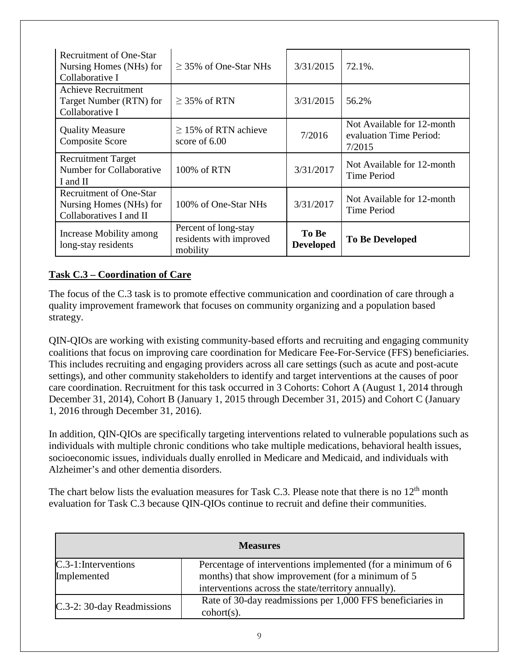| Recruitment of One-Star<br>Nursing Homes (NHs) for<br>Collaborative I                | $\geq$ 35% of One-Star NHs                                  | 3/31/2015                 | $72.1\%$ .                                                      |
|--------------------------------------------------------------------------------------|-------------------------------------------------------------|---------------------------|-----------------------------------------------------------------|
| Achieve Recruitment<br>Target Number (RTN) for<br>Collaborative I                    | $\geq$ 35% of RTN                                           | 3/31/2015                 | 56.2%                                                           |
| <b>Quality Measure</b><br><b>Composite Score</b>                                     | $\geq$ 15% of RTN achieve<br>score of $6.00$                | 7/2016                    | Not Available for 12-month<br>evaluation Time Period:<br>7/2015 |
| <b>Recruitment Target</b><br>Number for Collaborative<br>I and II                    | 100% of RTN                                                 | 3/31/2017                 | Not Available for 12-month<br><b>Time Period</b>                |
| <b>Recruitment of One-Star</b><br>Nursing Homes (NHs) for<br>Collaboratives I and II | 100% of One-Star NHs                                        | 3/31/2017                 | Not Available for 12-month<br><b>Time Period</b>                |
| Increase Mobility among<br>long-stay residents                                       | Percent of long-stay<br>residents with improved<br>mobility | To Be<br><b>Developed</b> | <b>To Be Developed</b>                                          |

## **Task C.3 – Coordination of Care**

The focus of the C.3 task is to promote effective communication and coordination of care through a quality improvement framework that focuses on community organizing and a population based strategy.

QIN-QIOs are working with existing community-based efforts and recruiting and engaging community coalitions that focus on improving care coordination for Medicare Fee-For-Service (FFS) beneficiaries. This includes recruiting and engaging providers across all care settings (such as acute and post-acute settings), and other community stakeholders to identify and target interventions at the causes of poor care coordination. Recruitment for this task occurred in 3 Cohorts: Cohort A (August 1, 2014 through December 31, 2014), Cohort B (January 1, 2015 through December 31, 2015) and Cohort C (January 1, 2016 through December 31, 2016).

In addition, QIN-QIOs are specifically targeting interventions related to vulnerable populations such as individuals with multiple chronic conditions who take multiple medications, behavioral health issues, socioeconomic issues, individuals dually enrolled in Medicare and Medicaid, and individuals with Alzheimer's and other dementia disorders.

The chart below lists the evaluation measures for Task C.3. Please note that there is no  $12<sup>th</sup>$  month evaluation for Task C.3 because QIN-QIOs continue to recruit and define their communities.

| <b>Measures</b>                        |                                                                                                                                                                         |  |
|----------------------------------------|-------------------------------------------------------------------------------------------------------------------------------------------------------------------------|--|
| $C.3-1$ : Interventions<br>Implemented | Percentage of interventions implemented (for a minimum of 6<br>months) that show improvement (for a minimum of 5<br>interventions across the state/territory annually). |  |
| C.3-2: 30-day Readmissions             | Rate of 30-day readmissions per 1,000 FFS beneficiaries in<br>$\text{cohort}(s)$ .                                                                                      |  |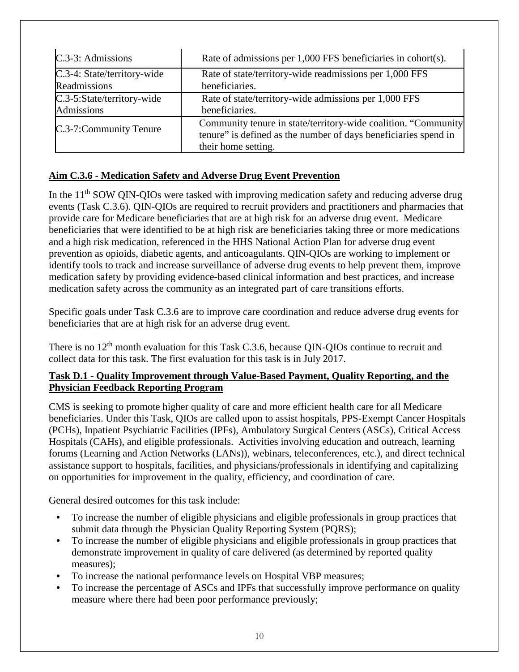| C.3-3: Admissions           | Rate of admissions per 1,000 FFS beneficiaries in cohort(s).                                                                                             |
|-----------------------------|----------------------------------------------------------------------------------------------------------------------------------------------------------|
| C.3-4: State/territory-wide | Rate of state/territory-wide readmissions per 1,000 FFS                                                                                                  |
| Readmissions                | beneficiaries.                                                                                                                                           |
| C.3-5:State/territory-wide  | Rate of state/territory-wide admissions per 1,000 FFS                                                                                                    |
| Admissions                  | beneficiaries.                                                                                                                                           |
| C.3-7:Community Tenure      | Community tenure in state/territory-wide coalition. "Community<br>tenure" is defined as the number of days beneficiaries spend in<br>their home setting. |

### **Aim C.3.6 - Medication Safety and Adverse Drug Event Prevention**

In the 11<sup>th</sup> SOW QIN-QIOs were tasked with improving medication safety and reducing adverse drug events (Task C.3.6). QIN-QIOs are required to recruit providers and practitioners and pharmacies that provide care for Medicare beneficiaries that are at high risk for an adverse drug event. Medicare beneficiaries that were identified to be at high risk are beneficiaries taking three or more medications and a high risk medication, referenced in the HHS National Action Plan for adverse drug event prevention as opioids, diabetic agents, and anticoagulants. QIN-QIOs are working to implement or identify tools to track and increase surveillance of adverse drug events to help prevent them, improve medication safety by providing evidence-based clinical information and best practices, and increase medication safety across the community as an integrated part of care transitions efforts.

Specific goals under Task C.3.6 are to improve care coordination and reduce adverse drug events for beneficiaries that are at high risk for an adverse drug event.

There is no 12<sup>th</sup> month evaluation for this Task C.3.6, because QIN-QIOs continue to recruit and collect data for this task. The first evaluation for this task is in July 2017.

### **Task D.1 - Quality Improvement through Value-Based Payment, Quality Reporting, and the Physician Feedback Reporting Program**

CMS is seeking to promote higher quality of care and more efficient health care for all Medicare beneficiaries. Under this Task, QIOs are called upon to assist hospitals, PPS-Exempt Cancer Hospitals (PCHs), Inpatient Psychiatric Facilities (IPFs), Ambulatory Surgical Centers (ASCs), Critical Access Hospitals (CAHs), and eligible professionals. Activities involving education and outreach, learning forums (Learning and Action Networks (LANs)), webinars, teleconferences, etc.), and direct technical assistance support to hospitals, facilities, and physicians/professionals in identifying and capitalizing on opportunities for improvement in the quality, efficiency, and coordination of care.

General desired outcomes for this task include:

- To increase the number of eligible physicians and eligible professionals in group practices that submit data through the Physician Quality Reporting System (PQRS);
- To increase the number of eligible physicians and eligible professionals in group practices that demonstrate improvement in quality of care delivered (as determined by reported quality measures);
- To increase the national performance levels on Hospital VBP measures;
- To increase the percentage of ASCs and IPFs that successfully improve performance on quality measure where there had been poor performance previously;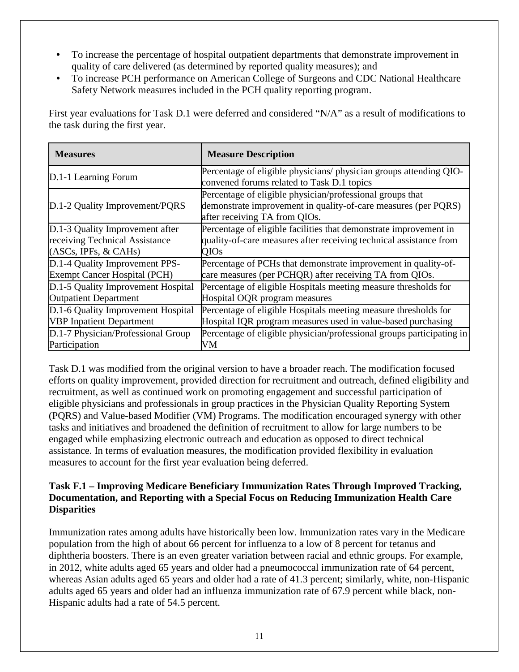- To increase the percentage of hospital outpatient departments that demonstrate improvement in quality of care delivered (as determined by reported quality measures); and
- To increase PCH performance on American College of Surgeons and CDC National Healthcare Safety Network measures included in the PCH quality reporting program.

First year evaluations for Task D.1 were deferred and considered "N/A" as a result of modifications to the task during the first year.

| <b>Measures</b>                     | <b>Measure Description</b>                                                                                                                                   |
|-------------------------------------|--------------------------------------------------------------------------------------------------------------------------------------------------------------|
| D.1-1 Learning Forum                | Percentage of eligible physicians/ physician groups attending QIO-<br>convened forums related to Task D.1 topics                                             |
| D.1-2 Quality Improvement/PQRS      | Percentage of eligible physician/professional groups that<br>demonstrate improvement in quality-of-care measures (per PQRS)<br>after receiving TA from QIOs. |
| D.1-3 Quality Improvement after     | Percentage of eligible facilities that demonstrate improvement in                                                                                            |
| receiving Technical Assistance      | quality-of-care measures after receiving technical assistance from                                                                                           |
| (ASCs, IPFs, & CAHs)                | <b>QIOs</b>                                                                                                                                                  |
| D.1-4 Quality Improvement PPS-      | Percentage of PCHs that demonstrate improvement in quality-of-                                                                                               |
| <b>Exempt Cancer Hospital (PCH)</b> | care measures (per PCHQR) after receiving TA from QIOs.                                                                                                      |
| D.1-5 Quality Improvement Hospital  | Percentage of eligible Hospitals meeting measure thresholds for                                                                                              |
| <b>Outpatient Department</b>        | Hospital OQR program measures                                                                                                                                |
| D.1-6 Quality Improvement Hospital  | Percentage of eligible Hospitals meeting measure thresholds for                                                                                              |
| <b>VBP</b> Inpatient Department     | Hospital IQR program measures used in value-based purchasing                                                                                                 |
| D.1-7 Physician/Professional Group  | Percentage of eligible physician/professional groups participating in                                                                                        |
| Participation                       | VM                                                                                                                                                           |

Task D.1 was modified from the original version to have a broader reach. The modification focused efforts on quality improvement, provided direction for recruitment and outreach, defined eligibility and recruitment, as well as continued work on promoting engagement and successful participation of eligible physicians and professionals in group practices in the Physician Quality Reporting System (PQRS) and Value-based Modifier (VM) Programs. The modification encouraged synergy with other tasks and initiatives and broadened the definition of recruitment to allow for large numbers to be engaged while emphasizing electronic outreach and education as opposed to direct technical assistance. In terms of evaluation measures, the modification provided flexibility in evaluation measures to account for the first year evaluation being deferred.

#### **Task F.1 – Improving Medicare Beneficiary Immunization Rates Through Improved Tracking, Documentation, and Reporting with a Special Focus on Reducing Immunization Health Care Disparities**

Immunization rates among adults have historically been low. Immunization rates vary in the Medicare population from the high of about 66 percent for influenza to a low of 8 percent for tetanus and diphtheria boosters. There is an even greater variation between racial and ethnic groups. For example, in 2012, white adults aged 65 years and older had a pneumococcal immunization rate of 64 percent, whereas Asian adults aged 65 years and older had a rate of 41.3 percent; similarly, white, non-Hispanic adults aged 65 years and older had an influenza immunization rate of 67.9 percent while black, non-Hispanic adults had a rate of 54.5 percent.